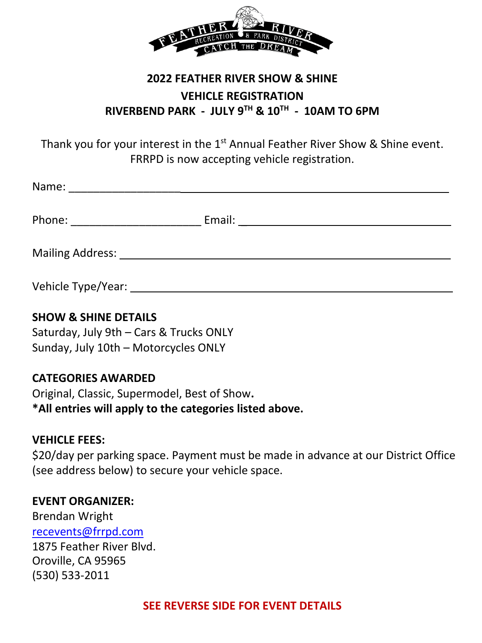

# **2022 FEATHER RIVER SHOW & SHINE VEHICLE REGISTRATION RIVERBEND PARK - JULY 9TH & 10TH - 10AM TO 6PM**

Thank you for your interest in the  $1<sup>st</sup>$  Annual Feather River Show & Shine event. FRRPD is now accepting vehicle registration.

| Name:              |                                           |  |
|--------------------|-------------------------------------------|--|
| Phone:             | Email: <u>___________________________</u> |  |
| Mailing Address:   |                                           |  |
| Vehicle Type/Year: |                                           |  |

### **SHOW & SHINE DETAILS**

Saturday, July 9th – Cars & Trucks ONLY Sunday, July 10th – Motorcycles ONLY

#### **CATEGORIES AWARDED**

Original, Classic, Supermodel, Best of Show**. \*All entries will apply to the categories listed above.**

#### **VEHICLE FEES:**

\$20/day per parking space. Payment must be made in advance at our District Office (see address below) to secure your vehicle space.

#### **EVENT ORGANIZER:**

Brendan Wright [recevents@frrpd.com](mailto:recevents@frrpd.com) 1875 Feather River Blvd. Oroville, CA 95965 (530) 533-2011